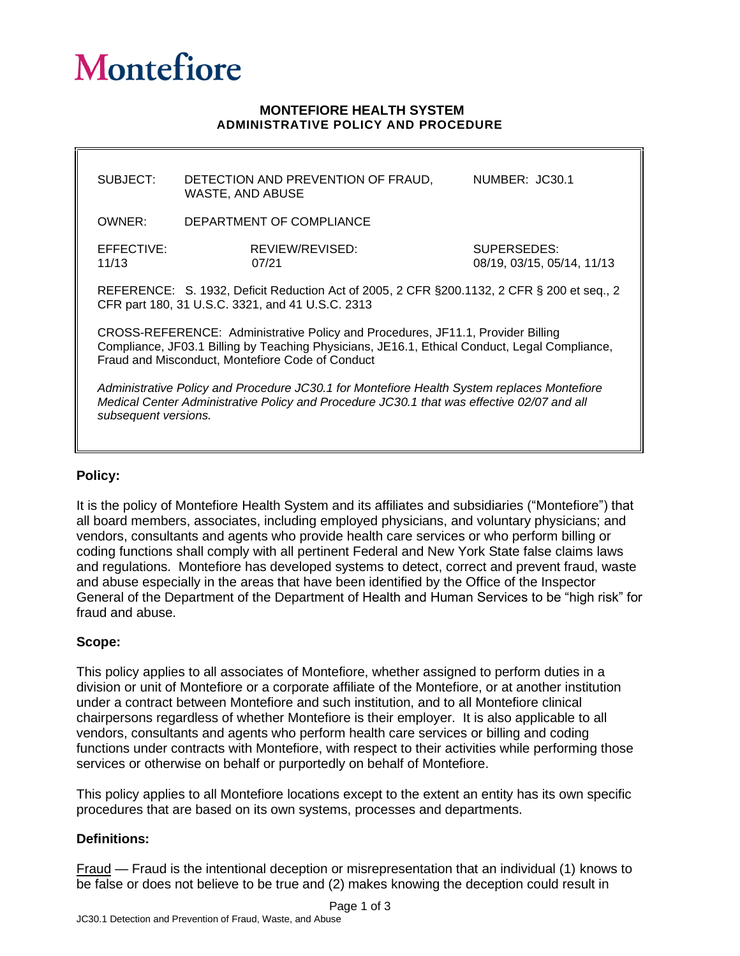# **Montefiore**

#### **MONTEFIORE HEALTH SYSTEM ADMINISTRATIVE POLICY AND PROCEDURE**

| SUBJECT:                                                                                                                                                                                                                             | DETECTION AND PREVENTION OF FRAUD,<br>WASTE, AND ABUSE | NUMBER: JC30.1                            |
|--------------------------------------------------------------------------------------------------------------------------------------------------------------------------------------------------------------------------------------|--------------------------------------------------------|-------------------------------------------|
| OWNER:                                                                                                                                                                                                                               | DEPARTMENT OF COMPLIANCE                               |                                           |
| EFFECTIVE:<br>11/13                                                                                                                                                                                                                  | REVIEW/REVISED:<br>07/21                               | SUPERSEDES:<br>08/19, 03/15, 05/14, 11/13 |
| REFERENCE: S. 1932, Deficit Reduction Act of 2005, 2 CFR § 200.1132, 2 CFR § 200 et seq., 2<br>CFR part 180, 31 U.S.C. 3321, and 41 U.S.C. 2313                                                                                      |                                                        |                                           |
| CROSS-REFERENCE: Administrative Policy and Procedures, JF11.1, Provider Billing<br>Compliance, JF03.1 Billing by Teaching Physicians, JE16.1, Ethical Conduct, Legal Compliance,<br>Fraud and Misconduct, Montefiore Code of Conduct |                                                        |                                           |
| Administrative Policy and Procedure JC30.1 for Montefiore Health System replaces Montefiore<br>Medical Center Administrative Policy and Procedure JC30.1 that was effective 02/07 and all<br>subsequent versions.                    |                                                        |                                           |

### **Policy:**

It is the policy of Montefiore Health System and its affiliates and subsidiaries ("Montefiore") that all board members, associates, including employed physicians, and voluntary physicians; and vendors, consultants and agents who provide health care services or who perform billing or coding functions shall comply with all pertinent Federal and New York State false claims laws and regulations. Montefiore has developed systems to detect, correct and prevent fraud, waste and abuse especially in the areas that have been identified by the Office of the Inspector General of the Department of the Department of Health and Human Services to be "high risk" for fraud and abuse.

### **Scope:**

This policy applies to all associates of Montefiore, whether assigned to perform duties in a division or unit of Montefiore or a corporate affiliate of the Montefiore, or at another institution under a contract between Montefiore and such institution, and to all Montefiore clinical chairpersons regardless of whether Montefiore is their employer. It is also applicable to all vendors, consultants and agents who perform health care services or billing and coding functions under contracts with Montefiore, with respect to their activities while performing those services or otherwise on behalf or purportedly on behalf of Montefiore.

This policy applies to all Montefiore locations except to the extent an entity has its own specific procedures that are based on its own systems, processes and departments.

### **Definitions:**

Fraud — Fraud is the intentional deception or misrepresentation that an individual (1) knows to be false or does not believe to be true and (2) makes knowing the deception could result in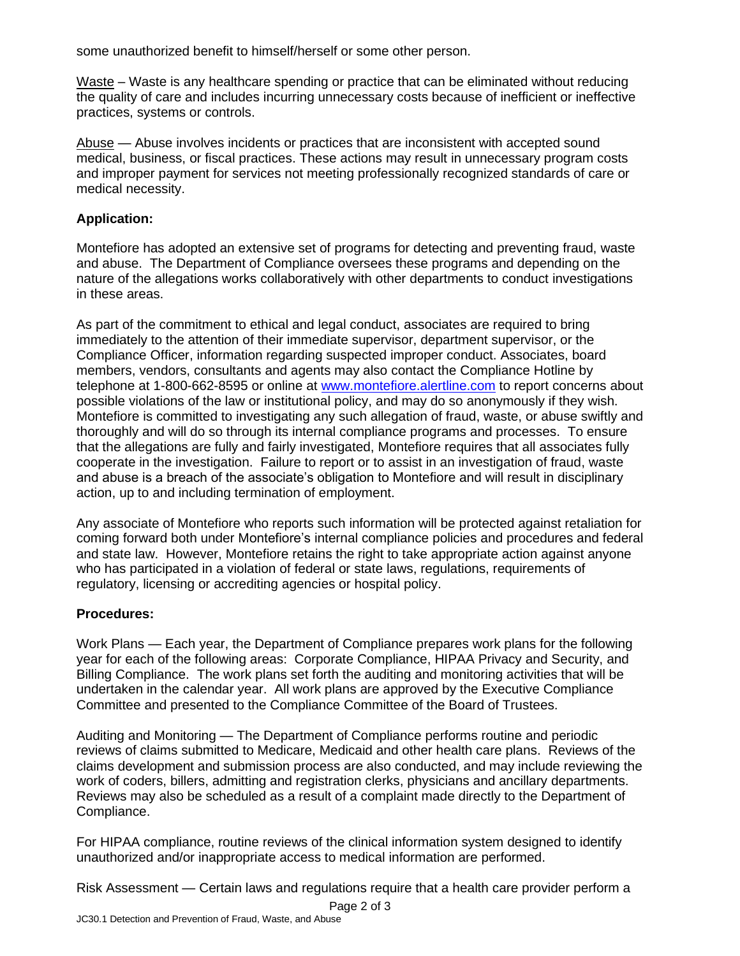some unauthorized benefit to himself/herself or some other person.

Waste – Waste is any healthcare spending or practice that can be eliminated without reducing the quality of care and includes incurring unnecessary costs because of inefficient or ineffective practices, systems or controls.

Abuse — Abuse involves incidents or practices that are inconsistent with accepted sound medical, business, or fiscal practices. These actions may result in unnecessary program costs and improper payment for services not meeting professionally recognized standards of care or medical necessity.

## **Application:**

Montefiore has adopted an extensive set of programs for detecting and preventing fraud, waste and abuse. The Department of Compliance oversees these programs and depending on the nature of the allegations works collaboratively with other departments to conduct investigations in these areas.

As part of the commitment to ethical and legal conduct, associates are required to bring immediately to the attention of their immediate supervisor, department supervisor, or the Compliance Officer, information regarding suspected improper conduct. Associates, board members, vendors, consultants and agents may also contact the Compliance Hotline by telephone at 1-800-662-8595 or online at [www.montefiore.alertline.com](http://www.montefiore.alertline.com/) to report concerns about possible violations of the law or institutional policy, and may do so anonymously if they wish. Montefiore is committed to investigating any such allegation of fraud, waste, or abuse swiftly and thoroughly and will do so through its internal compliance programs and processes. To ensure that the allegations are fully and fairly investigated, Montefiore requires that all associates fully cooperate in the investigation. Failure to report or to assist in an investigation of fraud, waste and abuse is a breach of the associate's obligation to Montefiore and will result in disciplinary action, up to and including termination of employment.

Any associate of Montefiore who reports such information will be protected against retaliation for coming forward both under Montefiore's internal compliance policies and procedures and federal and state law. However, Montefiore retains the right to take appropriate action against anyone who has participated in a violation of federal or state laws, regulations, requirements of regulatory, licensing or accrediting agencies or hospital policy.

### **Procedures:**

Work Plans — Each year, the Department of Compliance prepares work plans for the following year for each of the following areas: Corporate Compliance, HIPAA Privacy and Security, and Billing Compliance. The work plans set forth the auditing and monitoring activities that will be undertaken in the calendar year. All work plans are approved by the Executive Compliance Committee and presented to the Compliance Committee of the Board of Trustees.

Auditing and Monitoring — The Department of Compliance performs routine and periodic reviews of claims submitted to Medicare, Medicaid and other health care plans. Reviews of the claims development and submission process are also conducted, and may include reviewing the work of coders, billers, admitting and registration clerks, physicians and ancillary departments. Reviews may also be scheduled as a result of a complaint made directly to the Department of Compliance.

For HIPAA compliance, routine reviews of the clinical information system designed to identify unauthorized and/or inappropriate access to medical information are performed.

Risk Assessment — Certain laws and regulations require that a health care provider perform a